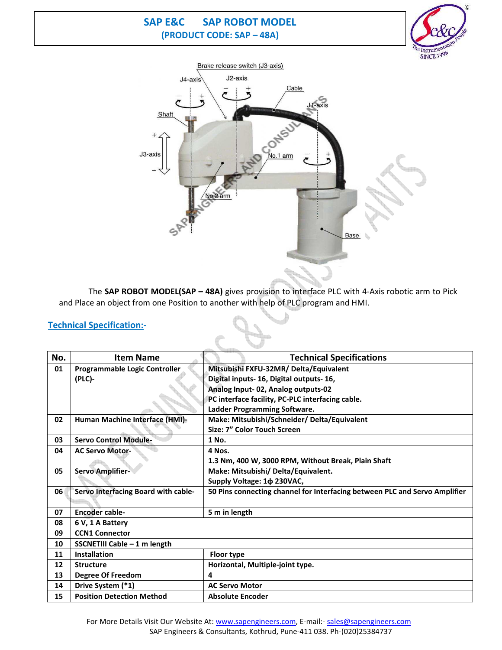





The **SAP ROBOT MODEL(SAP – 48A)** gives provision to interface PLC with 4-Axis robotic arm to Pick and Place an object from one Position to another with help of PLC program and HMI.

| No. | <b>Item Name</b>                    | <b>Technical Specifications</b>                                            |
|-----|-------------------------------------|----------------------------------------------------------------------------|
| 01  | Programmable Logic Controller       | Mitsubishi FXFU-32MR/ Delta/Equivalent                                     |
|     | $(PLC)$ -                           | Digital inputs- 16, Digital outputs- 16,                                   |
|     |                                     | Analog Input-02, Analog outputs-02                                         |
|     |                                     | PC interface facility, PC-PLC interfacing cable.                           |
|     |                                     | Ladder Programming Software.                                               |
| 02  | Human Machine Interface (HMI)-      | Make: Mitsubishi/Schneider/ Delta/Equivalent                               |
|     |                                     | Size: 7" Color Touch Screen                                                |
| 03  | <b>Servo Control Module-</b>        | 1 No.                                                                      |
| 04  | <b>AC Servo Motor-</b>              | 4 Nos.                                                                     |
|     |                                     | 1.3 Nm, 400 W, 3000 RPM, Without Break, Plain Shaft                        |
| 05  | <b>Servo Amplifier-</b>             | Make: Mitsubishi/ Delta/Equivalent.                                        |
|     |                                     | Supply Voltage: 1¢ 230VAC,                                                 |
| 06  | Servo Interfacing Board with cable- | 50 Pins connecting channel for Interfacing between PLC and Servo Amplifier |
|     |                                     |                                                                            |
| 07  | <b>Encoder cable-</b>               | 5 m in length                                                              |
| 08  | 6 V, 1 A Battery                    |                                                                            |
| 09  | <b>CCN1 Connector</b>               |                                                                            |
| 10  | SSCNETIII Cable - 1 m length        |                                                                            |
| 11  | Installation                        | Floor type                                                                 |
| 12  | <b>Structure</b>                    | Horizontal, Multiple-joint type.                                           |
| 13  | Degree Of Freedom                   | 4                                                                          |
| 14  | Drive System (*1)                   | <b>AC Servo Motor</b>                                                      |
| 15  | <b>Position Detection Method</b>    | <b>Absolute Encoder</b>                                                    |

**Technical Specification:-**